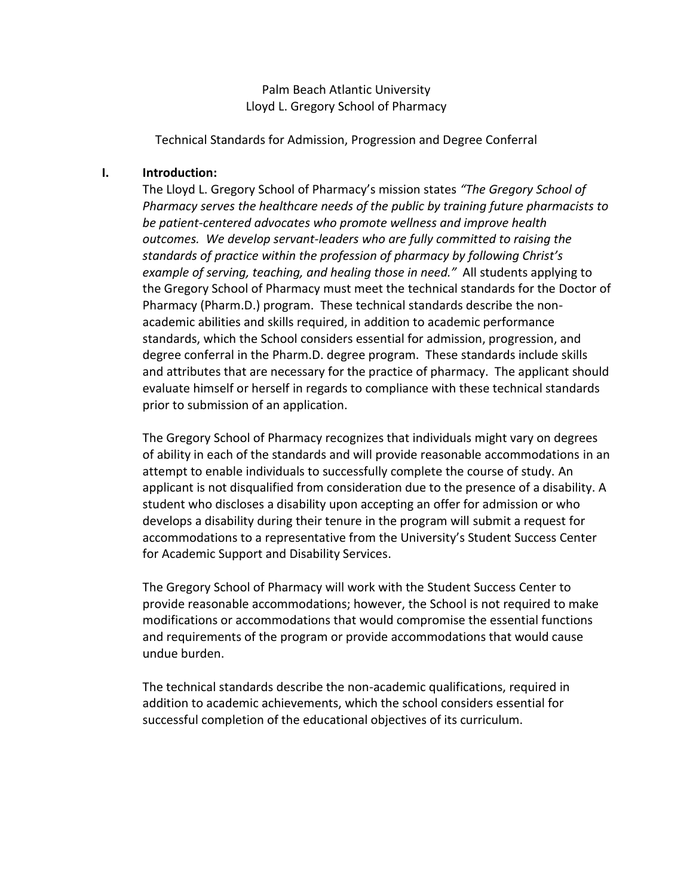Palm Beach Atlantic University Lloyd L. Gregory School of Pharmacy

Technical Standards for Admission, Progression and Degree Conferral

#### **I. Introduction:**

The Lloyd L. Gregory School of Pharmacy's mission states *"The Gregory School of Pharmacy serves the healthcare needs of the public by training future pharmacists to be patient-centered advocates who promote wellness and improve health outcomes. We develop servant-leaders who are fully committed to raising the standards of practice within the profession of pharmacy by following Christ's example of serving, teaching, and healing those in need."* All students applying to the Gregory School of Pharmacy must meet the technical standards for the Doctor of Pharmacy (Pharm.D.) program. These technical standards describe the nonacademic abilities and skills required, in addition to academic performance standards, which the School considers essential for admission, progression, and degree conferral in the Pharm.D. degree program. These standards include skills and attributes that are necessary for the practice of pharmacy. The applicant should evaluate himself or herself in regards to compliance with these technical standards prior to submission of an application.

The Gregory School of Pharmacy recognizes that individuals might vary on degrees of ability in each of the standards and will provide reasonable accommodations in an attempt to enable individuals to successfully complete the course of study. An applicant is not disqualified from consideration due to the presence of a disability. A student who discloses a disability upon accepting an offer for admission or who develops a disability during their tenure in the program will submit a request for accommodations to a representative from the University's Student Success Center for Academic Support and Disability Services.

The Gregory School of Pharmacy will work with the Student Success Center to provide reasonable accommodations; however, the School is not required to make modifications or accommodations that would compromise the essential functions and requirements of the program or provide accommodations that would cause undue burden.

The technical standards describe the non-academic qualifications, required in addition to academic achievements, which the school considers essential for successful completion of the educational objectives of its curriculum.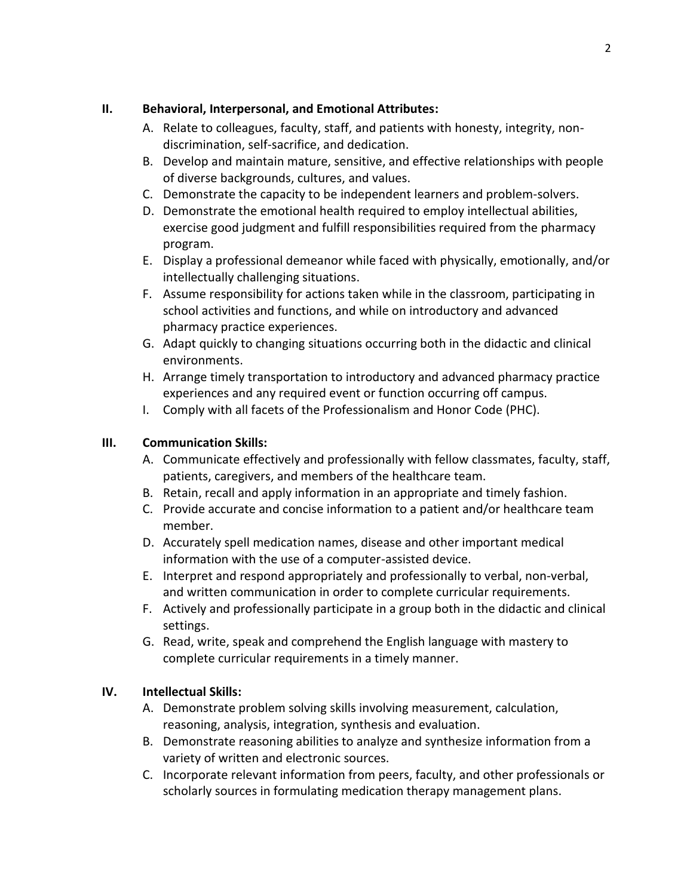## **II. Behavioral, Interpersonal, and Emotional Attributes:**

- A. Relate to colleagues, faculty, staff, and patients with honesty, integrity, nondiscrimination, self-sacrifice, and dedication.
- B. Develop and maintain mature, sensitive, and effective relationships with people of diverse backgrounds, cultures, and values.
- C. Demonstrate the capacity to be independent learners and problem-solvers.
- D. Demonstrate the emotional health required to employ intellectual abilities, exercise good judgment and fulfill responsibilities required from the pharmacy program.
- E. Display a professional demeanor while faced with physically, emotionally, and/or intellectually challenging situations.
- F. Assume responsibility for actions taken while in the classroom, participating in school activities and functions, and while on introductory and advanced pharmacy practice experiences.
- G. Adapt quickly to changing situations occurring both in the didactic and clinical environments.
- H. Arrange timely transportation to introductory and advanced pharmacy practice experiences and any required event or function occurring off campus.
- I. Comply with all facets of the Professionalism and Honor Code (PHC).

# **III. Communication Skills:**

- A. Communicate effectively and professionally with fellow classmates, faculty, staff, patients, caregivers, and members of the healthcare team.
- B. Retain, recall and apply information in an appropriate and timely fashion.
- C. Provide accurate and concise information to a patient and/or healthcare team member.
- D. Accurately spell medication names, disease and other important medical information with the use of a computer-assisted device.
- E. Interpret and respond appropriately and professionally to verbal, non-verbal, and written communication in order to complete curricular requirements.
- F. Actively and professionally participate in a group both in the didactic and clinical settings.
- G. Read, write, speak and comprehend the English language with mastery to complete curricular requirements in a timely manner.

# **IV. Intellectual Skills:**

- A. Demonstrate problem solving skills involving measurement, calculation, reasoning, analysis, integration, synthesis and evaluation.
- B. Demonstrate reasoning abilities to analyze and synthesize information from a variety of written and electronic sources.
- C. Incorporate relevant information from peers, faculty, and other professionals or scholarly sources in formulating medication therapy management plans.